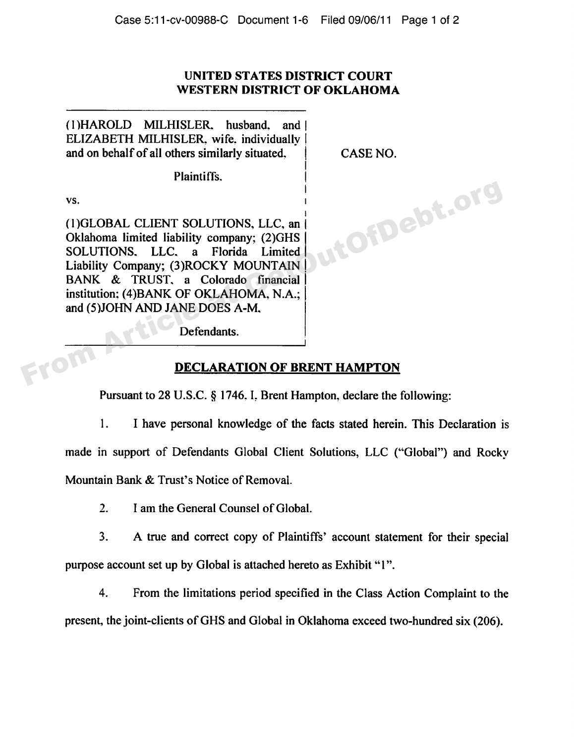## **UNITED STATES DISTRICT COURT WESTERN DISTRICT OF OKLAHOMA**

(1)HAROLD MILHISLER. husband. and l ELIZABETH MILHISLER, wife. individually and on behalf of all others similarly situated. CASE NO.

Plaintiffs.

vs. **I** 

I (1)GLOBAL CLIENT SOLUTIONS, LLC, an ( Oklahoma limited liability company; (2)GHS SOLUTIONS. LLC. a Florida Limited Liability Company; (3)ROCKY MOUNTAIN I BANK & TRUST, a Colorado financial | institution; (4)BANK OF OKLAHOMA, N.A.; and (5) JOHN AND JANE DOES A-M, vs.<br>
(1)GLOBAL CLIENT SOLUTIONS, LLC, and<br>
Oklahoma limited liability company; (2)GHS<br>
SOLUTIONS, LLC, a Florida Limited<br>
Liability Company; (3)ROCKY MOUNTAIN<br>
BANK & TRUST, a Colorado financial<br>
institution; (4)BANK OF OK

Defendants.

## **DECLARATION OF BRENT HAMPTON**

Pursuant to 28 U.S.C. § 1746. I. Brent Hampton, declare the following:

 $1.$ I have personal knowledge of the facts stated herein. This Declaration is made in support of Defendants Global Client Solutions, LLC ("Global") and Rocky Mountain Bank & Trust's Notice of Removal.

 $2.$ I am the General Counsel of Global.

3. A true and correct copy of Plaintiffs' account statement for their special purpose account set up by Global is attached hereto as Exhibit "1".

4. From the limitations period specified in the Class Action Complaint to the

present, the joint-clients of GHS and Global in Oklahoma exceed two-hundred six (206).